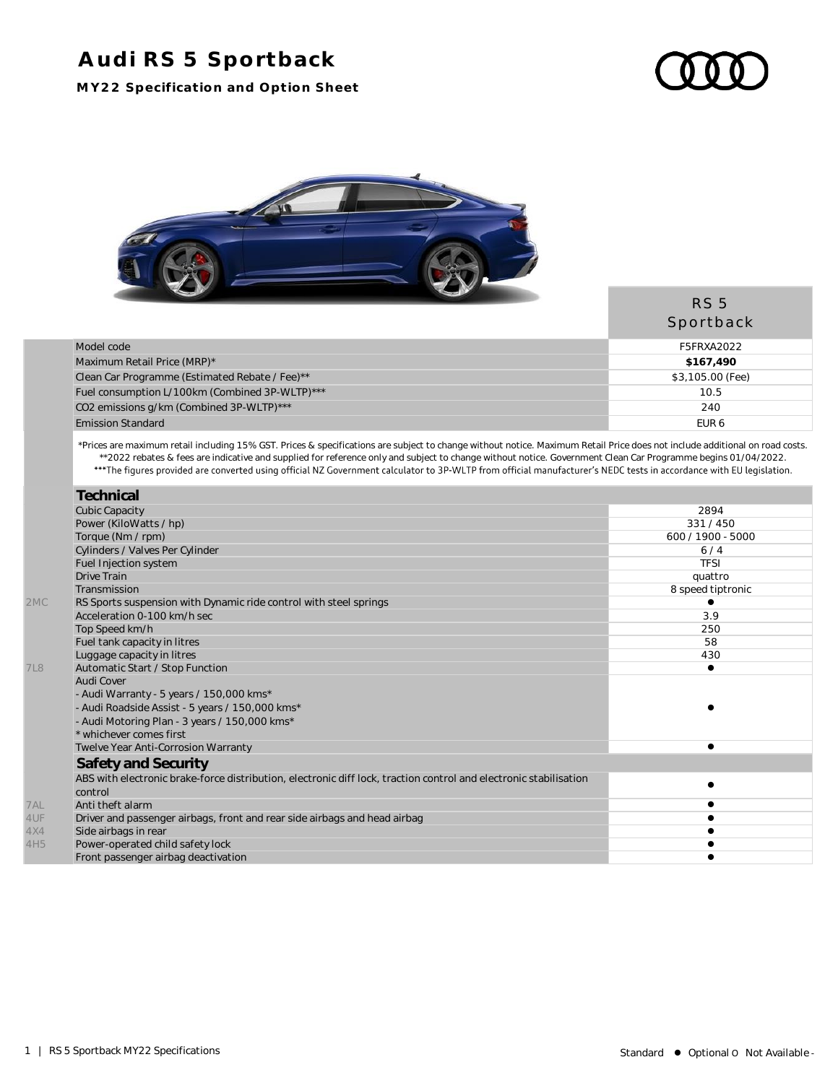## **Audi RS 5 Sportback**

**MY22 Specification and Option Sheet**



|                                                | <b>RS 5</b><br>Sportback |
|------------------------------------------------|--------------------------|
| Model code                                     | F5FRXA2022               |
| Maximum Retail Price (MRP)*                    | \$167.490                |
| Clean Car Programme (Estimated Rebate / Fee)** | \$3,105.00 (Fee)         |
| Fuel consumption L/100km (Combined 3P-WLTP)*** | 10.5                     |
| CO2 emissions g/km (Combined 3P-WLTP)***       | 240                      |
| <b>Emission Standard</b>                       | EUR <sub>6</sub>         |

\*Prices are maximum retail including 15% GST. Prices & specifications are subject to change without notice. Maximum Retail Price does not include additional on road costs. \*\*2022 rebates & fees are indicative and supplied for reference only and subject to change without notice. Government Clean Car Programme begins 01/04/2022.

|                 | Technical                                                                                                         |                   |
|-----------------|-------------------------------------------------------------------------------------------------------------------|-------------------|
|                 | <b>Cubic Capacity</b>                                                                                             | 2894              |
|                 | Power (KiloWatts / hp)                                                                                            | 331/450           |
|                 | Torque (Nm / rpm)                                                                                                 | 600 / 1900 - 5000 |
|                 | Cylinders / Valves Per Cylinder                                                                                   | 6/4               |
|                 | Fuel Injection system                                                                                             | <b>TFSI</b>       |
|                 | Drive Train                                                                                                       | quattro           |
|                 | Transmission                                                                                                      | 8 speed tiptronic |
| 2MC             | RS Sports suspension with Dynamic ride control with steel springs                                                 |                   |
|                 | Acceleration 0-100 km/h sec                                                                                       | 3.9               |
|                 | Top Speed km/h                                                                                                    | 250               |
|                 | Fuel tank capacity in litres                                                                                      | 58                |
|                 | Luggage capacity in litres                                                                                        | 430               |
| <b>7L8</b>      | Automatic Start / Stop Function                                                                                   |                   |
|                 | Audi Cover                                                                                                        |                   |
|                 | - Audi Warranty - 5 years / 150,000 kms*                                                                          |                   |
|                 | - Audi Roadside Assist - 5 years / 150,000 kms*                                                                   |                   |
|                 | - Audi Motoring Plan - 3 years / 150,000 kms*                                                                     |                   |
|                 | * whichever comes first                                                                                           |                   |
|                 | Twelve Year Anti-Corrosion Warranty                                                                               |                   |
|                 | Safety and Security                                                                                               |                   |
|                 | ABS with electronic brake-force distribution, electronic diff lock, traction control and electronic stabilisation |                   |
|                 | control                                                                                                           |                   |
| 7AL             | Anti theft alarm                                                                                                  |                   |
| 4UF             | Driver and passenger airbags, front and rear side airbags and head airbag                                         |                   |
| 4X4             | Side airbags in rear                                                                                              |                   |
| 4H <sub>5</sub> | Power-operated child safety lock                                                                                  |                   |
|                 | Front passenger airbag deactivation                                                                               |                   |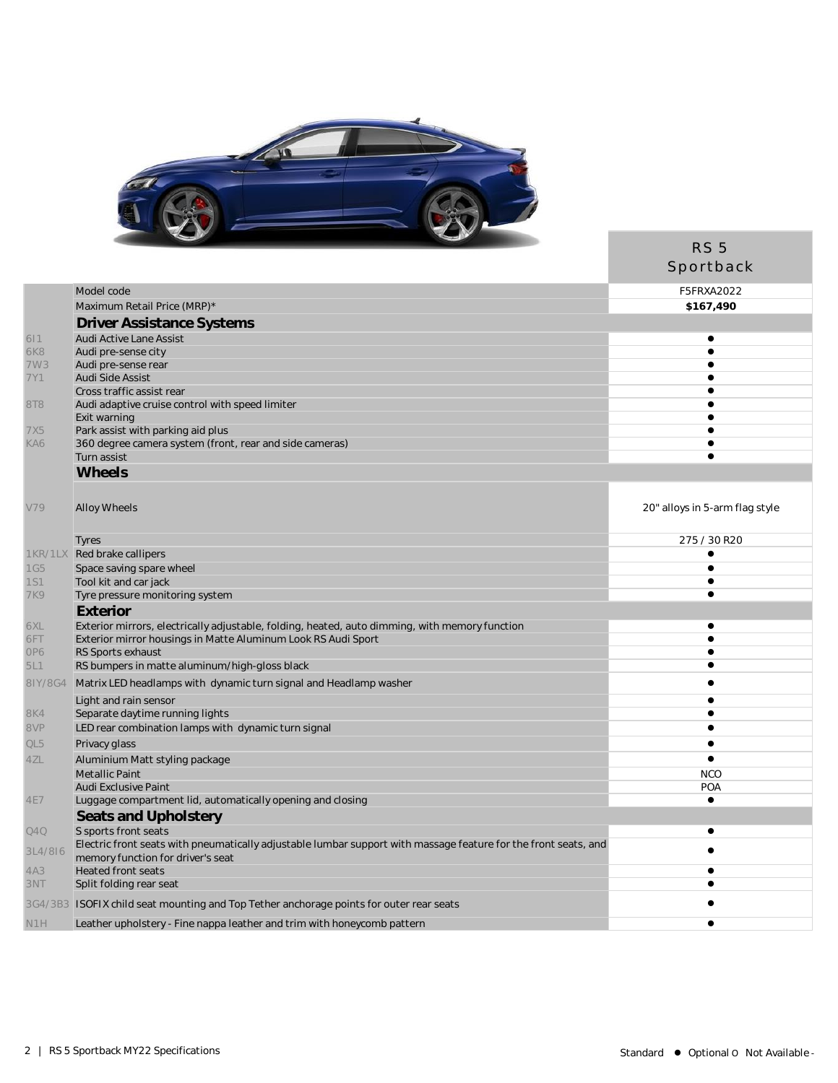

| Model code<br>F5FRXA2022<br>Maximum Retail Price (MRP)*<br>\$167,490<br>Driver Assistance Systems<br>611<br>Audi Active Lane Assist<br>$\bullet$<br><b>6K8</b><br>Audi pre-sense city<br>$\bullet$<br>7W3<br>Audi pre-sense rear<br>Audi Side Assist<br>7Y1<br>e<br>Cross traffic assist rear<br>Audi adaptive cruise control with speed limiter<br>8T8<br>Exit warning<br>Park assist with parking aid plus<br>7X5<br>KA6<br>360 degree camera system (front, rear and side cameras)<br>Turn assist<br>Wheels<br>V79<br>Alloy Wheels<br>20" alloys in 5-arm flag style<br>275 / 30 R20<br>Tyres<br>1KR/1LX<br>Red brake callipers<br>Ò<br><b>1G5</b><br>Space saving spare wheel<br>$\bullet$<br>Tool kit and car jack<br><b>1S1</b><br>$\bullet$<br><b>7K9</b><br>Tyre pressure monitoring system<br>0<br>Exterior<br>6XL<br>Exterior mirrors, electrically adjustable, folding, heated, auto dimming, with memory function<br>$\bullet$<br>6FT<br>Exterior mirror housings in Matte Aluminum Look RS Audi Sport<br>OP6<br>RS Sports exhaust<br>e<br>RS bumpers in matte aluminum/high-gloss black<br>5L1<br>$\bullet$<br>Matrix LED headlamps with dynamic turn signal and Headlamp washer<br>81Y/8G4<br>Light and rain sensor<br>Ō<br>Separate daytime running lights<br>8K4<br>LED rear combination lamps with dynamic turn signal<br>8VP<br>QL5<br>Privacy glass<br>$\bullet$<br>4ZL<br>Aluminium Matt styling package<br>$\bullet$<br>Metallic Paint<br><b>NCO</b><br>Audi Exclusive Paint<br><b>POA</b><br>Luggage compartment lid, automatically opening and closing<br>$\bullet$<br><b>4E7</b><br>Seats and Upholstery<br>S sports front seats<br>Q4Q<br>Electric front seats with pneumatically adjustable lumbar support with massage feature for the front seats, and<br>3L4/8I6<br>memory function for driver's seat<br><b>Heated front seats</b><br>4A3<br>Ō<br>3NT<br>Split folding rear seat<br>$\bullet$<br>3G4/3B3 ISOFIX child seat mounting and Top Tether anchorage points for outer rear seats<br>N <sub>1</sub> H<br>Leather upholstery - Fine nappa leather and trim with honeycomb pattern<br>$\bullet$ |  | RS <sub>5</sub> |
|-----------------------------------------------------------------------------------------------------------------------------------------------------------------------------------------------------------------------------------------------------------------------------------------------------------------------------------------------------------------------------------------------------------------------------------------------------------------------------------------------------------------------------------------------------------------------------------------------------------------------------------------------------------------------------------------------------------------------------------------------------------------------------------------------------------------------------------------------------------------------------------------------------------------------------------------------------------------------------------------------------------------------------------------------------------------------------------------------------------------------------------------------------------------------------------------------------------------------------------------------------------------------------------------------------------------------------------------------------------------------------------------------------------------------------------------------------------------------------------------------------------------------------------------------------------------------------------------------------------------------------------------------------------------------------------------------------------------------------------------------------------------------------------------------------------------------------------------------------------------------------------------------------------------------------------------------------------------------------------------------------------------------------------------------------------------------------------------------------------------------------------|--|-----------------|
|                                                                                                                                                                                                                                                                                                                                                                                                                                                                                                                                                                                                                                                                                                                                                                                                                                                                                                                                                                                                                                                                                                                                                                                                                                                                                                                                                                                                                                                                                                                                                                                                                                                                                                                                                                                                                                                                                                                                                                                                                                                                                                                                   |  | Sportback       |
|                                                                                                                                                                                                                                                                                                                                                                                                                                                                                                                                                                                                                                                                                                                                                                                                                                                                                                                                                                                                                                                                                                                                                                                                                                                                                                                                                                                                                                                                                                                                                                                                                                                                                                                                                                                                                                                                                                                                                                                                                                                                                                                                   |  |                 |
|                                                                                                                                                                                                                                                                                                                                                                                                                                                                                                                                                                                                                                                                                                                                                                                                                                                                                                                                                                                                                                                                                                                                                                                                                                                                                                                                                                                                                                                                                                                                                                                                                                                                                                                                                                                                                                                                                                                                                                                                                                                                                                                                   |  |                 |
|                                                                                                                                                                                                                                                                                                                                                                                                                                                                                                                                                                                                                                                                                                                                                                                                                                                                                                                                                                                                                                                                                                                                                                                                                                                                                                                                                                                                                                                                                                                                                                                                                                                                                                                                                                                                                                                                                                                                                                                                                                                                                                                                   |  |                 |
|                                                                                                                                                                                                                                                                                                                                                                                                                                                                                                                                                                                                                                                                                                                                                                                                                                                                                                                                                                                                                                                                                                                                                                                                                                                                                                                                                                                                                                                                                                                                                                                                                                                                                                                                                                                                                                                                                                                                                                                                                                                                                                                                   |  |                 |
|                                                                                                                                                                                                                                                                                                                                                                                                                                                                                                                                                                                                                                                                                                                                                                                                                                                                                                                                                                                                                                                                                                                                                                                                                                                                                                                                                                                                                                                                                                                                                                                                                                                                                                                                                                                                                                                                                                                                                                                                                                                                                                                                   |  |                 |
|                                                                                                                                                                                                                                                                                                                                                                                                                                                                                                                                                                                                                                                                                                                                                                                                                                                                                                                                                                                                                                                                                                                                                                                                                                                                                                                                                                                                                                                                                                                                                                                                                                                                                                                                                                                                                                                                                                                                                                                                                                                                                                                                   |  |                 |
|                                                                                                                                                                                                                                                                                                                                                                                                                                                                                                                                                                                                                                                                                                                                                                                                                                                                                                                                                                                                                                                                                                                                                                                                                                                                                                                                                                                                                                                                                                                                                                                                                                                                                                                                                                                                                                                                                                                                                                                                                                                                                                                                   |  |                 |
|                                                                                                                                                                                                                                                                                                                                                                                                                                                                                                                                                                                                                                                                                                                                                                                                                                                                                                                                                                                                                                                                                                                                                                                                                                                                                                                                                                                                                                                                                                                                                                                                                                                                                                                                                                                                                                                                                                                                                                                                                                                                                                                                   |  |                 |
|                                                                                                                                                                                                                                                                                                                                                                                                                                                                                                                                                                                                                                                                                                                                                                                                                                                                                                                                                                                                                                                                                                                                                                                                                                                                                                                                                                                                                                                                                                                                                                                                                                                                                                                                                                                                                                                                                                                                                                                                                                                                                                                                   |  |                 |
|                                                                                                                                                                                                                                                                                                                                                                                                                                                                                                                                                                                                                                                                                                                                                                                                                                                                                                                                                                                                                                                                                                                                                                                                                                                                                                                                                                                                                                                                                                                                                                                                                                                                                                                                                                                                                                                                                                                                                                                                                                                                                                                                   |  |                 |
|                                                                                                                                                                                                                                                                                                                                                                                                                                                                                                                                                                                                                                                                                                                                                                                                                                                                                                                                                                                                                                                                                                                                                                                                                                                                                                                                                                                                                                                                                                                                                                                                                                                                                                                                                                                                                                                                                                                                                                                                                                                                                                                                   |  |                 |
|                                                                                                                                                                                                                                                                                                                                                                                                                                                                                                                                                                                                                                                                                                                                                                                                                                                                                                                                                                                                                                                                                                                                                                                                                                                                                                                                                                                                                                                                                                                                                                                                                                                                                                                                                                                                                                                                                                                                                                                                                                                                                                                                   |  |                 |
|                                                                                                                                                                                                                                                                                                                                                                                                                                                                                                                                                                                                                                                                                                                                                                                                                                                                                                                                                                                                                                                                                                                                                                                                                                                                                                                                                                                                                                                                                                                                                                                                                                                                                                                                                                                                                                                                                                                                                                                                                                                                                                                                   |  |                 |
|                                                                                                                                                                                                                                                                                                                                                                                                                                                                                                                                                                                                                                                                                                                                                                                                                                                                                                                                                                                                                                                                                                                                                                                                                                                                                                                                                                                                                                                                                                                                                                                                                                                                                                                                                                                                                                                                                                                                                                                                                                                                                                                                   |  |                 |
|                                                                                                                                                                                                                                                                                                                                                                                                                                                                                                                                                                                                                                                                                                                                                                                                                                                                                                                                                                                                                                                                                                                                                                                                                                                                                                                                                                                                                                                                                                                                                                                                                                                                                                                                                                                                                                                                                                                                                                                                                                                                                                                                   |  |                 |
|                                                                                                                                                                                                                                                                                                                                                                                                                                                                                                                                                                                                                                                                                                                                                                                                                                                                                                                                                                                                                                                                                                                                                                                                                                                                                                                                                                                                                                                                                                                                                                                                                                                                                                                                                                                                                                                                                                                                                                                                                                                                                                                                   |  |                 |
|                                                                                                                                                                                                                                                                                                                                                                                                                                                                                                                                                                                                                                                                                                                                                                                                                                                                                                                                                                                                                                                                                                                                                                                                                                                                                                                                                                                                                                                                                                                                                                                                                                                                                                                                                                                                                                                                                                                                                                                                                                                                                                                                   |  |                 |
|                                                                                                                                                                                                                                                                                                                                                                                                                                                                                                                                                                                                                                                                                                                                                                                                                                                                                                                                                                                                                                                                                                                                                                                                                                                                                                                                                                                                                                                                                                                                                                                                                                                                                                                                                                                                                                                                                                                                                                                                                                                                                                                                   |  |                 |
|                                                                                                                                                                                                                                                                                                                                                                                                                                                                                                                                                                                                                                                                                                                                                                                                                                                                                                                                                                                                                                                                                                                                                                                                                                                                                                                                                                                                                                                                                                                                                                                                                                                                                                                                                                                                                                                                                                                                                                                                                                                                                                                                   |  |                 |
|                                                                                                                                                                                                                                                                                                                                                                                                                                                                                                                                                                                                                                                                                                                                                                                                                                                                                                                                                                                                                                                                                                                                                                                                                                                                                                                                                                                                                                                                                                                                                                                                                                                                                                                                                                                                                                                                                                                                                                                                                                                                                                                                   |  |                 |
|                                                                                                                                                                                                                                                                                                                                                                                                                                                                                                                                                                                                                                                                                                                                                                                                                                                                                                                                                                                                                                                                                                                                                                                                                                                                                                                                                                                                                                                                                                                                                                                                                                                                                                                                                                                                                                                                                                                                                                                                                                                                                                                                   |  |                 |
|                                                                                                                                                                                                                                                                                                                                                                                                                                                                                                                                                                                                                                                                                                                                                                                                                                                                                                                                                                                                                                                                                                                                                                                                                                                                                                                                                                                                                                                                                                                                                                                                                                                                                                                                                                                                                                                                                                                                                                                                                                                                                                                                   |  |                 |
|                                                                                                                                                                                                                                                                                                                                                                                                                                                                                                                                                                                                                                                                                                                                                                                                                                                                                                                                                                                                                                                                                                                                                                                                                                                                                                                                                                                                                                                                                                                                                                                                                                                                                                                                                                                                                                                                                                                                                                                                                                                                                                                                   |  |                 |
|                                                                                                                                                                                                                                                                                                                                                                                                                                                                                                                                                                                                                                                                                                                                                                                                                                                                                                                                                                                                                                                                                                                                                                                                                                                                                                                                                                                                                                                                                                                                                                                                                                                                                                                                                                                                                                                                                                                                                                                                                                                                                                                                   |  |                 |
|                                                                                                                                                                                                                                                                                                                                                                                                                                                                                                                                                                                                                                                                                                                                                                                                                                                                                                                                                                                                                                                                                                                                                                                                                                                                                                                                                                                                                                                                                                                                                                                                                                                                                                                                                                                                                                                                                                                                                                                                                                                                                                                                   |  |                 |
|                                                                                                                                                                                                                                                                                                                                                                                                                                                                                                                                                                                                                                                                                                                                                                                                                                                                                                                                                                                                                                                                                                                                                                                                                                                                                                                                                                                                                                                                                                                                                                                                                                                                                                                                                                                                                                                                                                                                                                                                                                                                                                                                   |  |                 |
|                                                                                                                                                                                                                                                                                                                                                                                                                                                                                                                                                                                                                                                                                                                                                                                                                                                                                                                                                                                                                                                                                                                                                                                                                                                                                                                                                                                                                                                                                                                                                                                                                                                                                                                                                                                                                                                                                                                                                                                                                                                                                                                                   |  |                 |
|                                                                                                                                                                                                                                                                                                                                                                                                                                                                                                                                                                                                                                                                                                                                                                                                                                                                                                                                                                                                                                                                                                                                                                                                                                                                                                                                                                                                                                                                                                                                                                                                                                                                                                                                                                                                                                                                                                                                                                                                                                                                                                                                   |  |                 |
|                                                                                                                                                                                                                                                                                                                                                                                                                                                                                                                                                                                                                                                                                                                                                                                                                                                                                                                                                                                                                                                                                                                                                                                                                                                                                                                                                                                                                                                                                                                                                                                                                                                                                                                                                                                                                                                                                                                                                                                                                                                                                                                                   |  |                 |
|                                                                                                                                                                                                                                                                                                                                                                                                                                                                                                                                                                                                                                                                                                                                                                                                                                                                                                                                                                                                                                                                                                                                                                                                                                                                                                                                                                                                                                                                                                                                                                                                                                                                                                                                                                                                                                                                                                                                                                                                                                                                                                                                   |  |                 |
|                                                                                                                                                                                                                                                                                                                                                                                                                                                                                                                                                                                                                                                                                                                                                                                                                                                                                                                                                                                                                                                                                                                                                                                                                                                                                                                                                                                                                                                                                                                                                                                                                                                                                                                                                                                                                                                                                                                                                                                                                                                                                                                                   |  |                 |
|                                                                                                                                                                                                                                                                                                                                                                                                                                                                                                                                                                                                                                                                                                                                                                                                                                                                                                                                                                                                                                                                                                                                                                                                                                                                                                                                                                                                                                                                                                                                                                                                                                                                                                                                                                                                                                                                                                                                                                                                                                                                                                                                   |  |                 |
|                                                                                                                                                                                                                                                                                                                                                                                                                                                                                                                                                                                                                                                                                                                                                                                                                                                                                                                                                                                                                                                                                                                                                                                                                                                                                                                                                                                                                                                                                                                                                                                                                                                                                                                                                                                                                                                                                                                                                                                                                                                                                                                                   |  |                 |
|                                                                                                                                                                                                                                                                                                                                                                                                                                                                                                                                                                                                                                                                                                                                                                                                                                                                                                                                                                                                                                                                                                                                                                                                                                                                                                                                                                                                                                                                                                                                                                                                                                                                                                                                                                                                                                                                                                                                                                                                                                                                                                                                   |  |                 |
|                                                                                                                                                                                                                                                                                                                                                                                                                                                                                                                                                                                                                                                                                                                                                                                                                                                                                                                                                                                                                                                                                                                                                                                                                                                                                                                                                                                                                                                                                                                                                                                                                                                                                                                                                                                                                                                                                                                                                                                                                                                                                                                                   |  |                 |
|                                                                                                                                                                                                                                                                                                                                                                                                                                                                                                                                                                                                                                                                                                                                                                                                                                                                                                                                                                                                                                                                                                                                                                                                                                                                                                                                                                                                                                                                                                                                                                                                                                                                                                                                                                                                                                                                                                                                                                                                                                                                                                                                   |  |                 |
|                                                                                                                                                                                                                                                                                                                                                                                                                                                                                                                                                                                                                                                                                                                                                                                                                                                                                                                                                                                                                                                                                                                                                                                                                                                                                                                                                                                                                                                                                                                                                                                                                                                                                                                                                                                                                                                                                                                                                                                                                                                                                                                                   |  |                 |
|                                                                                                                                                                                                                                                                                                                                                                                                                                                                                                                                                                                                                                                                                                                                                                                                                                                                                                                                                                                                                                                                                                                                                                                                                                                                                                                                                                                                                                                                                                                                                                                                                                                                                                                                                                                                                                                                                                                                                                                                                                                                                                                                   |  |                 |
|                                                                                                                                                                                                                                                                                                                                                                                                                                                                                                                                                                                                                                                                                                                                                                                                                                                                                                                                                                                                                                                                                                                                                                                                                                                                                                                                                                                                                                                                                                                                                                                                                                                                                                                                                                                                                                                                                                                                                                                                                                                                                                                                   |  |                 |
|                                                                                                                                                                                                                                                                                                                                                                                                                                                                                                                                                                                                                                                                                                                                                                                                                                                                                                                                                                                                                                                                                                                                                                                                                                                                                                                                                                                                                                                                                                                                                                                                                                                                                                                                                                                                                                                                                                                                                                                                                                                                                                                                   |  |                 |
|                                                                                                                                                                                                                                                                                                                                                                                                                                                                                                                                                                                                                                                                                                                                                                                                                                                                                                                                                                                                                                                                                                                                                                                                                                                                                                                                                                                                                                                                                                                                                                                                                                                                                                                                                                                                                                                                                                                                                                                                                                                                                                                                   |  |                 |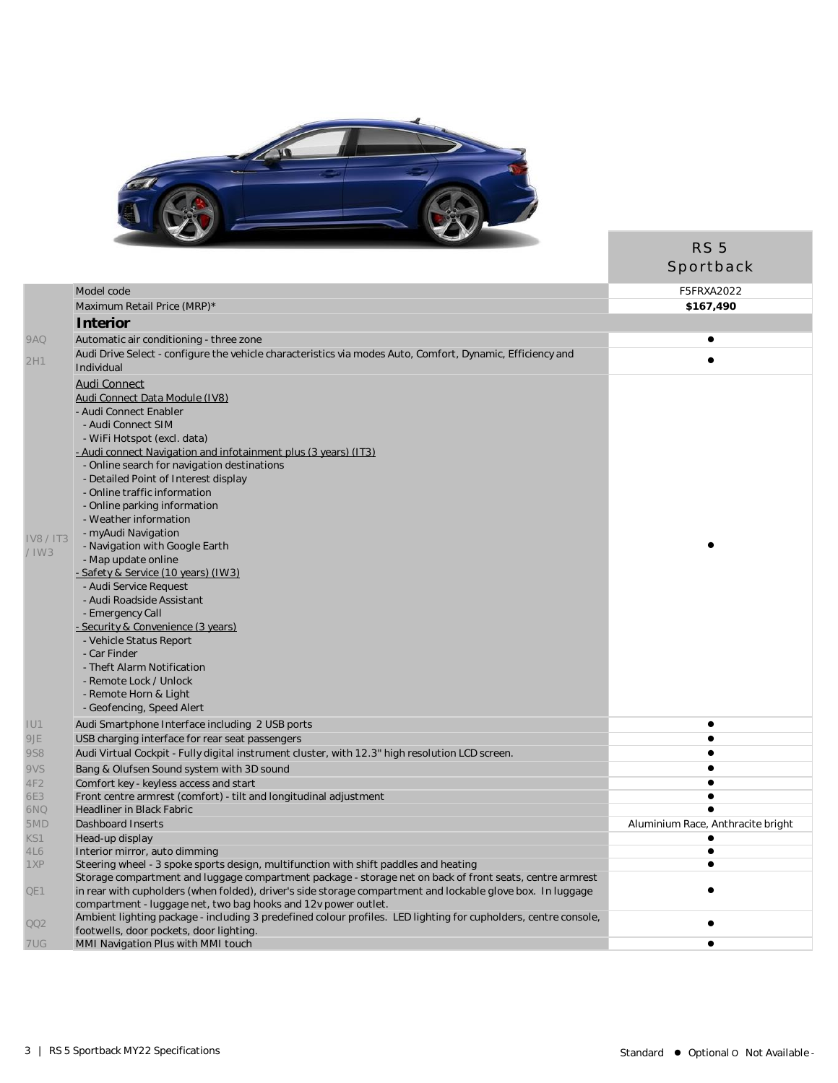

|                 |                                                                                                                                                                                   | RS <sub>5</sub><br>Sportback      |
|-----------------|-----------------------------------------------------------------------------------------------------------------------------------------------------------------------------------|-----------------------------------|
|                 | Model code                                                                                                                                                                        | F5FRXA2022                        |
|                 | Maximum Retail Price (MRP)*                                                                                                                                                       | \$167,490                         |
|                 | <b>Interior</b>                                                                                                                                                                   |                                   |
| 9AQ             | Automatic air conditioning - three zone                                                                                                                                           | $\bullet$                         |
|                 | Audi Drive Select - configure the vehicle characteristics via modes Auto, Comfort, Dynamic, Efficiency and                                                                        |                                   |
| 2H1             | Individual                                                                                                                                                                        |                                   |
|                 | <b>Audi Connect</b>                                                                                                                                                               |                                   |
|                 | Audi Connect Data Module (IV8)                                                                                                                                                    |                                   |
|                 | - Audi Connect Enabler                                                                                                                                                            |                                   |
|                 | - Audi Connect SIM                                                                                                                                                                |                                   |
|                 | - WiFi Hotspot (excl. data)                                                                                                                                                       |                                   |
|                 | - Audi connect Navigation and infotainment plus (3 years) (IT3)                                                                                                                   |                                   |
|                 | - Online search for navigation destinations                                                                                                                                       |                                   |
|                 | - Detailed Point of Interest display                                                                                                                                              |                                   |
|                 | - Online traffic information                                                                                                                                                      |                                   |
|                 | - Online parking information                                                                                                                                                      |                                   |
|                 | - Weather information                                                                                                                                                             |                                   |
| <b>IV8/IT3</b>  | - myAudi Navigation                                                                                                                                                               |                                   |
| $/$ IW3         | - Navigation with Google Earth                                                                                                                                                    |                                   |
|                 | - Map update online                                                                                                                                                               |                                   |
|                 | <u>- Safety &amp; Service (10 years) (IW3)</u>                                                                                                                                    |                                   |
|                 | - Audi Service Request                                                                                                                                                            |                                   |
|                 | - Audi Roadside Assistant                                                                                                                                                         |                                   |
|                 | - Emergency Call                                                                                                                                                                  |                                   |
|                 | - Security & Convenience (3 years)                                                                                                                                                |                                   |
|                 | - Vehicle Status Report<br>- Car Finder                                                                                                                                           |                                   |
|                 | - Theft Alarm Notification                                                                                                                                                        |                                   |
|                 | - Remote Lock / Unlock                                                                                                                                                            |                                   |
|                 | - Remote Horn & Light                                                                                                                                                             |                                   |
|                 | - Geofencing, Speed Alert                                                                                                                                                         |                                   |
| IU1             | Audi Smartphone Interface including 2 USB ports                                                                                                                                   | $\bullet$                         |
| 9JE             | USB charging interface for rear seat passengers                                                                                                                                   | $\bullet$                         |
| <b>9S8</b>      | Audi Virtual Cockpit - Fully digital instrument cluster, with 12.3" high resolution LCD screen.                                                                                   |                                   |
| 9VS             | Bang & Olufsen Sound system with 3D sound                                                                                                                                         | $\bullet$                         |
| 4F <sub>2</sub> | Comfort key - keyless access and start                                                                                                                                            |                                   |
| 6E3             | Front centre armrest (comfort) - tilt and longitudinal adjustment                                                                                                                 | $\bullet$                         |
| 6NQ             | <b>Headliner in Black Fabric</b>                                                                                                                                                  |                                   |
| 5MD             | Dashboard Inserts                                                                                                                                                                 | Aluminium Race, Anthracite bright |
| KS1             | Head-up display                                                                                                                                                                   | $\bullet$                         |
| 4L6             | Interior mirror, auto dimming                                                                                                                                                     | $\bullet$                         |
| 1XP             | Steering wheel - 3 spoke sports design, multifunction with shift paddles and heating                                                                                              | $\bullet$                         |
|                 | Storage compartment and luggage compartment package - storage net on back of front seats, centre armrest                                                                          |                                   |
| QE1             | in rear with cupholders (when folded), driver's side storage compartment and lockable glove box. In luggage                                                                       |                                   |
|                 | compartment - luggage net, two bag hooks and 12v power outlet.<br>Ambient lighting package - including 3 predefined colour profiles. LED lighting for cupholders, centre console, |                                   |
| QQ2             | footwells, door pockets, door lighting.                                                                                                                                           |                                   |
| 7UG             | MMI Navigation Plus with MMI touch                                                                                                                                                | $\bullet$                         |